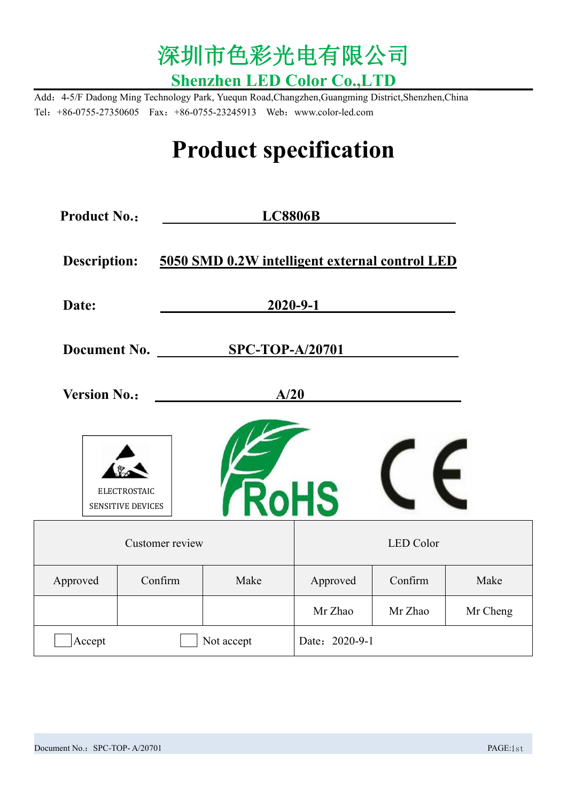

Add:4-5/F Dadong Ming Technology Park, Yuequn Road,Changzhen,Guangming District,Shenzhen,China Tel:+86-0755-27350605 Fax:+86-0755-23245913 Web:www.color-led.com

# **Product specification**

| <b>Product No.:</b> |                                          | <b>LC8806B</b>                                 |                |                  |          |
|---------------------|------------------------------------------|------------------------------------------------|----------------|------------------|----------|
| <b>Description:</b> |                                          | 5050 SMD 0.2W intelligent external control LED |                |                  |          |
| Date:               |                                          | $2020 - 9 - 1$                                 |                |                  |          |
| <b>Document No.</b> |                                          | <b>SPC-TOP-A/20701</b>                         |                |                  |          |
| <b>Version No.:</b> |                                          | A/20                                           |                |                  |          |
|                     | <b>ELECTROSTAIC</b><br>SENSITIVE DEVICES | <b>RoHS</b>                                    |                |                  |          |
|                     | Customer review                          |                                                |                | <b>LED</b> Color |          |
| Approved            | Confirm                                  | Make                                           | Approved       | Confirm          | Make     |
|                     |                                          |                                                | Mr Zhao        | Mr Zhao          | Mr Cheng |
| Accept              |                                          | Not accept                                     | Date: 2020-9-1 |                  |          |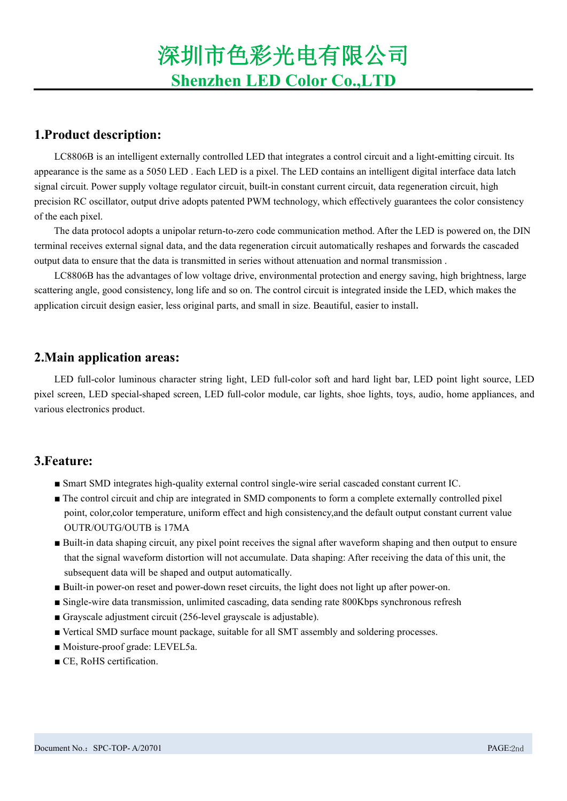### **1.Product description:**

LC8806B is an intelligent externally controlled LED that integrates a control circuit and a light-emitting circuit. Its appearance is the same as a 5050 LED . Each LED is a pixel. The LED contains an intelligent digital interface data latch signal circuit. Power supply voltage regulator circuit, built-in constant current circuit, data regeneration circuit, high precision RC oscillator, output drive adopts patented PWM technology, which effectively guarantees the color consistency of the each pixel.

The data protocol adopts a unipolar return-to-zero code communication method. After the LED is powered on, the DIN terminal receives external signal data, and the data regeneration circuit automatically reshapes and forwards the cascaded output data to ensure that the data is transmitted in series without attenuation and normal transmission .

LC8806B has the advantages of low voltage drive, environmental protection and energy saving, high brightness, large scattering angle, good consistency, long life and so on. The control circuit is integrated inside the LED, which makes the application circuit design easier, less original parts, and small in size. Beautiful, easier to install.

### **2.Main application areas:**

LED full-color luminous character string light, LED full-color soft and hard light bar, LED point light source, LED pixel screen, LED special-shaped screen, LED full-color module, car lights, shoe lights, toys, audio, home appliances, and various electronics product.

### **3.Feature:**

- Smart SMD integrates high-quality external control single-wire serial cascaded constant current IC.
- The control circuit and chip are integrated in SMD components to form a complete externally controlled pixel point, color,color temperature, uniform effect and high consistency,and the default output constant current value OUTR/OUTG/OUTB is 17MA
- Built-in data shaping circuit, any pixel point receives the signal after waveform shaping and then output to ensure that the signal waveform distortion will not accumulate. Data shaping: After receiving the data of this unit, the subsequent data will be shaped and output automatically.
- Built-in power-on reset and power-down reset circuits, the light does not light up after power-on.
- Single-wire data transmission, unlimited cascading, data sending rate 800Kbps synchronous refresh
- Grayscale adjustment circuit (256-level grayscale is adjustable).
- Vertical SMD surface mount package, suitable for all SMT assembly and soldering processes.
- Moisture-proof grade: LEVEL5a.
- CE, RoHS certification.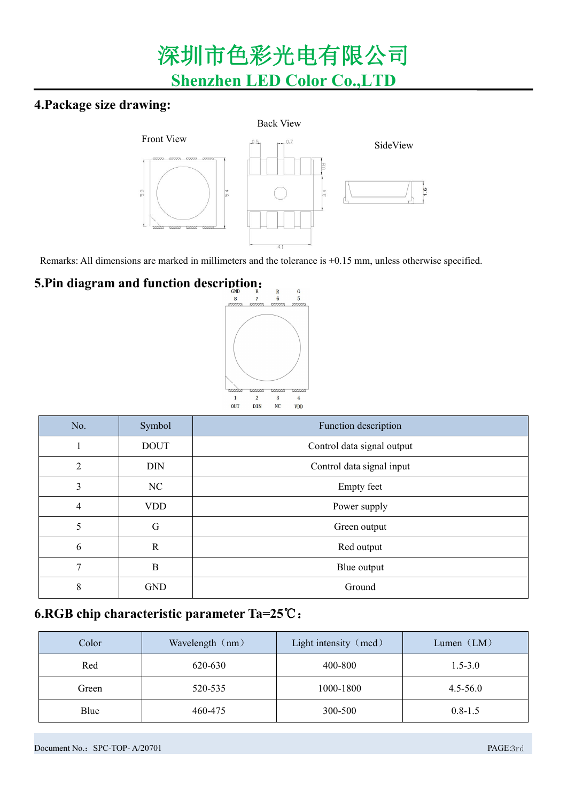## **4.Package size drawing:**



Remarks: All dimensions are marked in millimeters and the tolerance is  $\pm 0.15$  mm, unless otherwise specified.

# **5.Pin diagram and function description:**



| No. | Symbol       | Function description       |
|-----|--------------|----------------------------|
|     | <b>DOUT</b>  | Control data signal output |
| 2   | <b>DIN</b>   | Control data signal input  |
| 3   | NC           | <b>Empty</b> feet          |
| 4   | <b>VDD</b>   | Power supply               |
| 5   | G            | Green output               |
| 6   | $\mathbb{R}$ | Red output                 |
| 7   | B            | Blue output                |
| 8   | <b>GND</b>   | Ground                     |

## **6.RGB chipcharacteristic parameter Ta=25**℃:

| Color | Wavelength (nm) | Light intensity (mcd) | Lumen $(LM)$ |
|-------|-----------------|-----------------------|--------------|
| Red   | 620-630         | 400-800               | $1.5 - 3.0$  |
| Green | 520-535         | 1000-1800             | $4.5 - 56.0$ |
| Blue  | 460-475         | 300-500               | $0.8 - 1.5$  |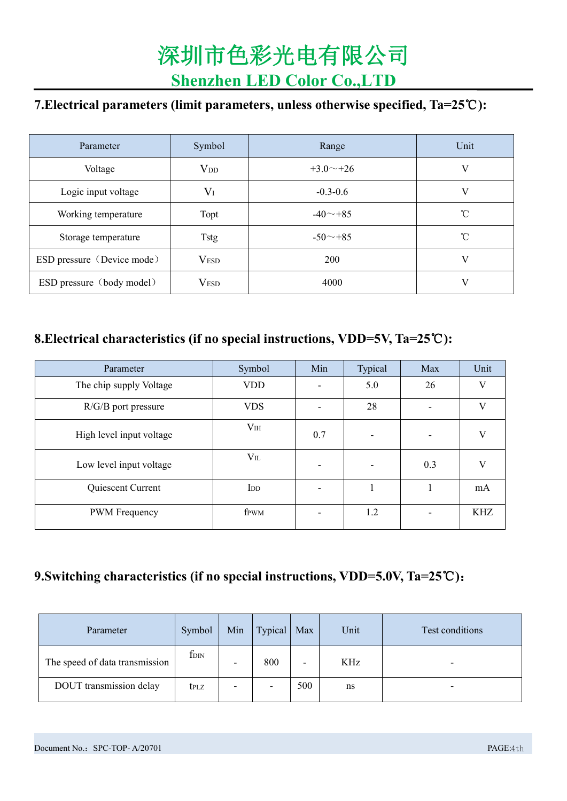## **7.Electrical parameters (limit parameters, unless otherwise specified, Ta=25**℃**):**

| Parameter                  | Symbol           | Range           | Unit         |
|----------------------------|------------------|-----------------|--------------|
| Voltage                    | $V_{DD}$         | $+3.0 \sim +26$ |              |
| Logic input voltage        | $V_I$            | $-0.3 - 0.6$    |              |
| Working temperature        | Topt             | $-40$ $-+85$    | $^{\circ}$ C |
| Storage temperature        | Tstg             | $-50$ $-+85$    | $^{\circ}$ C |
| ESD pressure (Device mode) | V <sub>ESD</sub> | 200             | V            |
| ESD pressure (body model)  | V <sub>ESD</sub> | 4000            |              |

## **8.Electrical characteristics (if no special instructions, VDD=5V, Ta=25**℃**):**

| Parameter                | Symbol                  | Min | Typical                  | Max                      | Unit         |
|--------------------------|-------------------------|-----|--------------------------|--------------------------|--------------|
| The chip supply Voltage  | <b>VDD</b>              |     | 5.0                      | 26                       | V            |
| $R/G/B$ port pressure    | <b>VDS</b>              | ۰   | 28                       | ۰                        | $\mathbf{V}$ |
| High level input voltage | V <sub>IH</sub>         | 0.7 | $\overline{\phantom{a}}$ | $\overline{\phantom{0}}$ | V            |
| Low level input voltage  | $V_{\rm IL}$            | ۰   | $\overline{\phantom{a}}$ | 0.3                      | V            |
| Quiescent Current        | $\overline{\mathrm{I}}$ | -   |                          |                          | mA           |
| <b>PWM</b> Frequency     | fpwm                    |     | 1.2                      |                          | <b>KHZ</b>   |

## **9.Switching characteristics (if no special instructions, VDD=5.0V, Ta=25**℃**)**:

| Parameter                      | Symbol           | Min                      | Typical                  | Max                      | Unit | Test conditions |
|--------------------------------|------------------|--------------------------|--------------------------|--------------------------|------|-----------------|
| The speed of data transmission | $f_{\text{DIN}}$ | $\overline{\phantom{0}}$ | 800                      | $\overline{\phantom{0}}$ | KHz  |                 |
| DOUT transmission delay        | <b>t</b> plz     | $\overline{\phantom{a}}$ | $\overline{\phantom{0}}$ | 500                      | ns   |                 |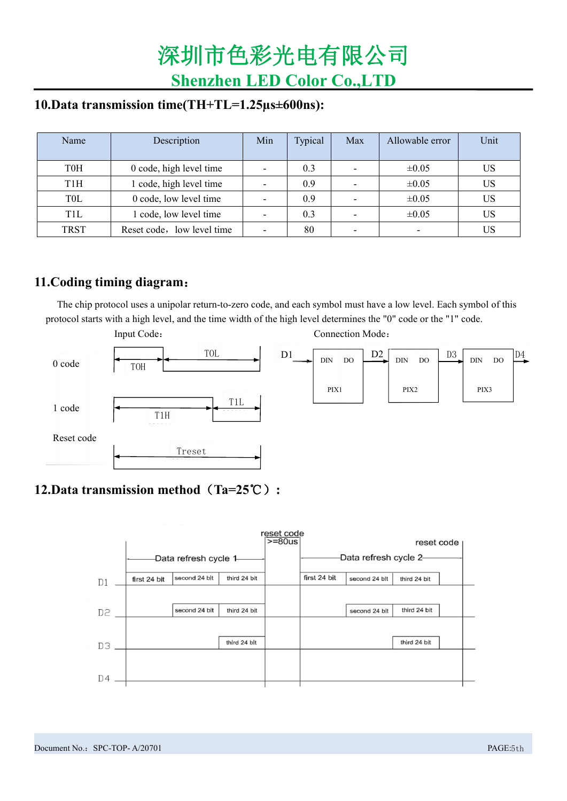### **10.Data transmission time(TH+TL=1.25µs±600ns):**

| Name             | Description                | Min                      | Typical | Max                      | Allowable error | Unit      |
|------------------|----------------------------|--------------------------|---------|--------------------------|-----------------|-----------|
| T0H              | 0 code, high level time    | $\overline{\phantom{a}}$ | 0.3     | $\overline{\phantom{a}}$ | $\pm 0.05$      | <b>US</b> |
| T <sub>1</sub> H | code, high level time      | $\overline{\phantom{a}}$ | 0.9     | -                        | $\pm 0.05$      | <b>US</b> |
| T <sub>0</sub> L | 0 code, low level time     | $\overline{\phantom{a}}$ | 0.9     | $\overline{\phantom{a}}$ | $\pm 0.05$      | <b>US</b> |
| T <sub>1</sub> L | code, low level time       | $\overline{\phantom{a}}$ | 0.3     | $\overline{\phantom{0}}$ | $\pm 0.05$      | <b>US</b> |
| <b>TRST</b>      | Reset code, low level time | $\overline{\phantom{a}}$ | 80      | $\overline{\phantom{a}}$ |                 | <b>US</b> |

## **11.Coding timing diagram**:

The chip protocol uses a unipolar return-to-zero code, and each symbol must have a low level. Each symbol of this protocol starts with a high level, and the time width of the high level determines the "0" code or the "1" code.



## **12.Data transmission method**(**Ta=25**℃)**:**

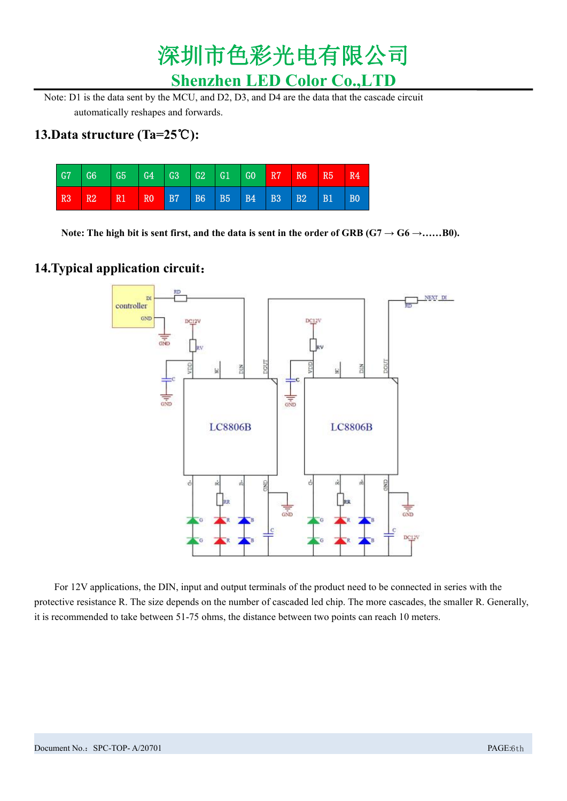

Note: D1 is the data sent by the MCU, and D2, D3, and D4 are the data that the cascade circuit automatically reshapes and forwards.

### **13.Data structure (Ta=25**℃**):**



Note: The high bit is sent first, and the data is sent in the order of GRB ( $G7 \rightarrow G6 \rightarrow ......B0$ ).

### **14.Typical application circuit**:



For 12V applications, the DIN, input and output terminals of the product need to be connected in series with the protective resistance R. The size depends on the number of cascaded led chip. The more cascades, the smaller R. Generally, it is recommended to take between 51-75 ohms, the distance between two points can reach 10 meters.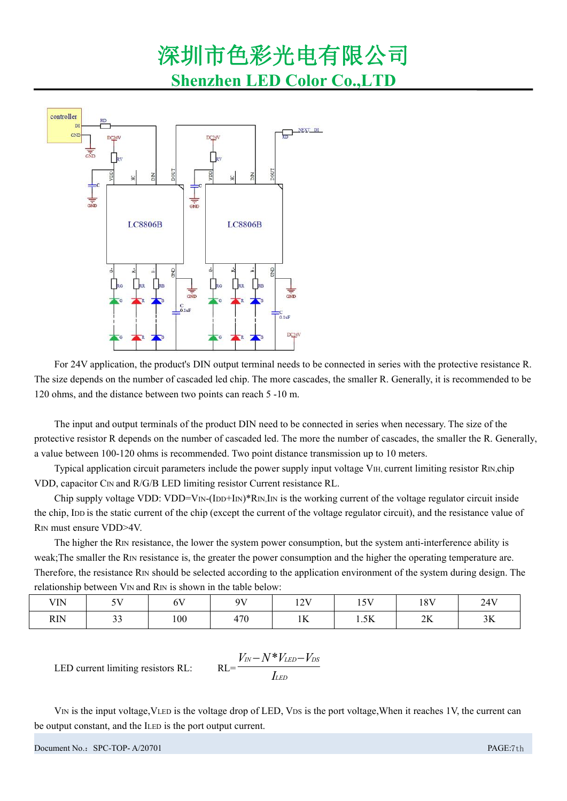

For 24V application, the product's DIN output terminal needs to be connected in series with the protective resistance R. The size depends on the number of cascaded led chip. The more cascades, the smaller R. Generally, it is recommended to be 120 ohms, and the distance between two points can reach 5 -10 m.

The input and output terminals ofthe product DIN need to be connected in series when necessary. The size of the protective resistor R depends on the number of cascaded led. The more the number of cascades, the smaller the R. Generally, a value between 100-120 ohms is recommended. Two point distance transmission up to 10 meters.

Typical application circuit parameters include the power supply input voltage VIH, current limiting resistor RIN,chip VDD, capacitor CIN and R/G/B LED limiting resistor Current resistance RL.

Chip supply voltage VDD: VDD=V<sub>IN</sub>-(I<sub>DD</sub>+I<sub>IN</sub>)\*R<sub>IN</sub>,I<sub>IN</sub> is the working current of the voltage regulator circuit inside the chip, IDD is the static current of the chip (except the current of the voltage regulator circuit), and the resistance value of RIN must ensure VDD>4V.

The higher the RIN resistance, the lower the system power consumption, but the system anti-interference ability is weak;The smaller the RIN resistance is, the greater the power consumption and the higher the operating temperature are. Therefore, the resistance RIN should be selected according to the application environment of the system during design. The relationship between V<sub>IN</sub> and R<sub>IN</sub> is shown in the table below:

| <b>VIN</b> | $-11$        | $\sqrt{1}$<br>$\mathbf{v}$ | QV  | 12V<br>-- | $-11$<br>$\overline{\phantom{0}}$ | 18V<br>$\sim$            | 24V<br>the contract of the contract of |
|------------|--------------|----------------------------|-----|-----------|-----------------------------------|--------------------------|----------------------------------------|
| <b>RIN</b> | $\sim$<br>-- | 100                        | 470 | 1T<br>1V  | 1.5K                              | $\Delta T$<br>$\angle K$ | $\mathbf{r}$<br>ЭA                     |

*LED*

 $V_{IN} - N*V_{LED} - V_{DS}$ 

 $IN - IV$  *V LED*  $-V$  *DS I*

LED current limiting resistors RL: 
$$
RL = \frac{1}{I}
$$

V<sub>IN</sub> is the input voltage, VLED is the voltage drop of LED, V<sub>DS</sub> is the port voltage, When it reaches 1V, the current can be output constant, and the ILED is the port output current.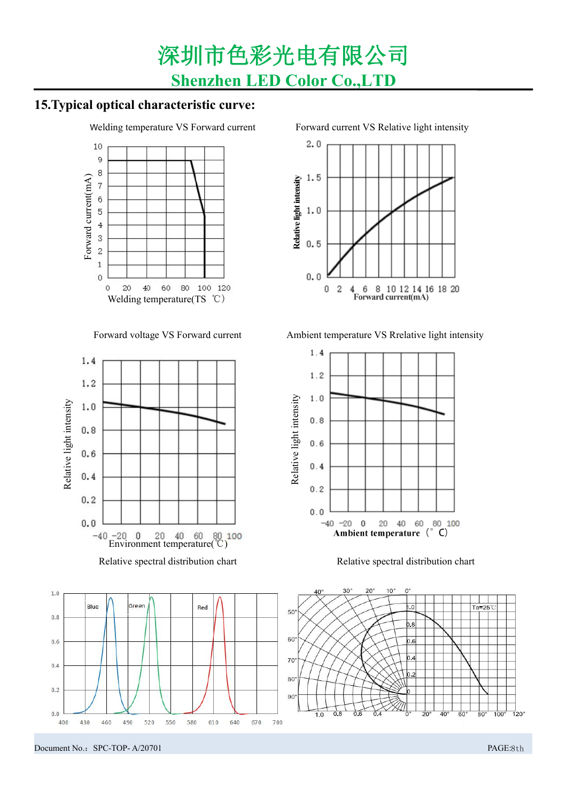## **15.Typical optical characteristic curve:**







Welding temperature VS Forward current Forward current VS Relative light intensity



Forward voltage VS Forward current Ambient temperature VS Rrelative light intensity



Relative spectral distribution chart

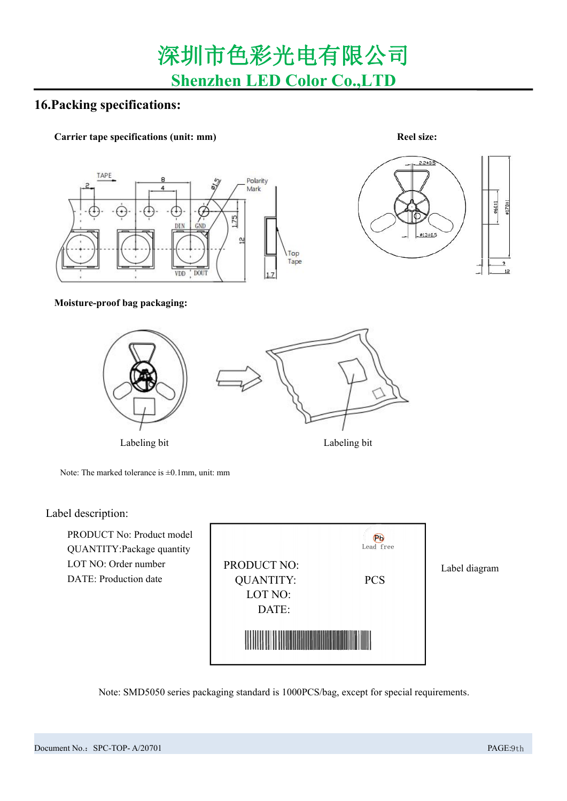### **16.Packing specifications:**

#### **Carrier tape specifications (unit: mm) Reel size:**





#### **Moisture-proof bag packaging:**



Note: The marked tolerance is  $\pm 0.1$ mm, unit: mm

#### Label description:

| PRODUCT No: Product model<br>QUANTITY: Package quantity<br>LOT NO: Order number<br>DATE: Production date | <b>PRODUCT NO:</b><br><b>QUANTITY:</b><br>LOT NO:<br>DATE: | Ρü<br>Lead free<br><b>PCS</b> | Label diagram |
|----------------------------------------------------------------------------------------------------------|------------------------------------------------------------|-------------------------------|---------------|
|                                                                                                          |                                                            |                               |               |

Note: SMD5050 series packaging standard is 1000PCS/bag, except for special requirements.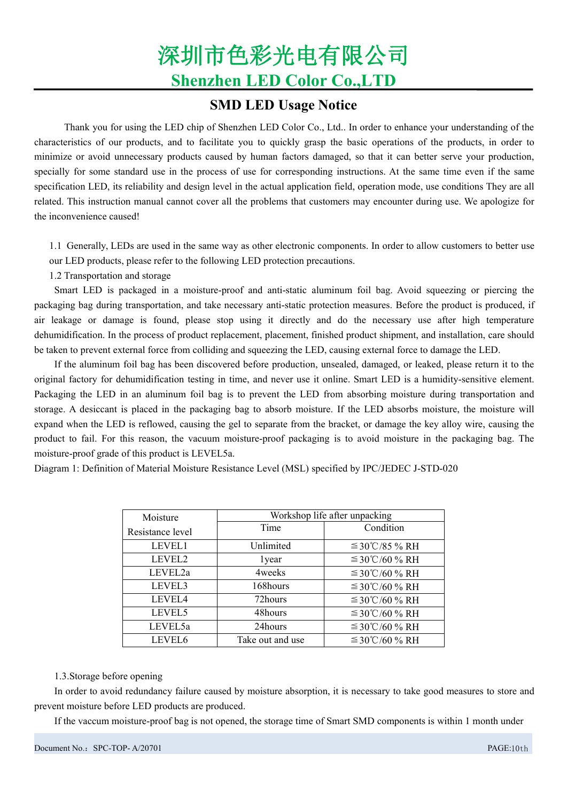### **SMD LED Usage Notice**

Thank you for using the LED chip of Shenzhen LED Color Co., Ltd.. In order to enhance your understanding of the characteristics of our products, and to facilitate you to quickly grasp the basic operations of the products, in order to minimize or avoid unnecessary products caused by human factors damaged, so that it can better serve your production, specially for some standard use in the process of use for corresponding instructions. At the same time even if the same specification LED, its reliability and design level in the actual application field, operation mode, use conditions They are all related. This instruction manual cannot cover all the problems that customers may encounter during use. We apologize for the inconvenience caused!

1.1 Generally, LEDs are used in the same way as other electronic components. In order to allow customers to better use our LED products, please refer to the following LED protection precautions.

1.2 Transportation and storage

Smart LED is packaged in a moisture-proof and anti-static aluminum foil bag. Avoid squeezing or piercing the packaging bag during transportation, and take necessary anti-static protection measures. Before the product is produced, if air leakage or damage is found, please stop using it directly and do the necessary use after high temperature dehumidification. In the process of product replacement, placement, finished product shipment, and installation, care should be taken to prevent external force from colliding and squeezing the LED, causing external force to damage the LED.

If the aluminum foil bag has been discovered before production, unsealed, damaged, or leaked, please return it to the original factory for dehumidification testing in time, and never use it online. Smart LED is a humidity-sensitive element. Packaging the LED in an aluminum foil bag is to prevent the LED from absorbing moisture during transportation and storage. A desiccant is placed in the packaging bag to absorb moisture. If the LED absorbs moisture, the moisture will expand when the LED is reflowed, causing the gel to separate from the bracket, or damage the key alloy wire, causing the product to fail. For this reason, the vacuum moisture-proof packaging is to avoid moisture in the packaging bag. The moisture-proof grade of this product is LEVEL5a.

Diagram 1: Definition of Material Moisture Resistance Level (MSL) specified by IPC/JEDEC J-STD-020

| Moisture           |                  | Workshop life after unpacking |
|--------------------|------------------|-------------------------------|
| Resistance level   | Time             | Condition                     |
| LEVEL1             | Unlimited        | $\leq$ 30°C/85 % RH           |
| LEVEL <sub>2</sub> | lyear            | $\leq$ 30°C/60 % RH           |
| LEVEL2a            | 4 weeks          | $\leq$ 30°C/60 % RH           |
| LEVEL3             | 168hours         | $\leq$ 30°C/60 % RH           |
| LEVEL4             | 72hours          | $\leq$ 30°C/60 % RH           |
| LEVEL5             | 48hours          | $\leq$ 30°C/60 % RH           |
| LEVEL5a            | 24hours          | $\leq$ 30°C/60 % RH           |
| LEVEL6             | Take out and use | $\leq$ 30°C/60 % RH           |

#### 1.3.Storage before opening

In order to avoid redundancy failure caused by moisture absorption, it is necessary to take good measures to store and prevent moisture before LED products are produced.

If the vaccum moisture-proof bag is not opened, the storage time of Smart SMD components is within 1 month under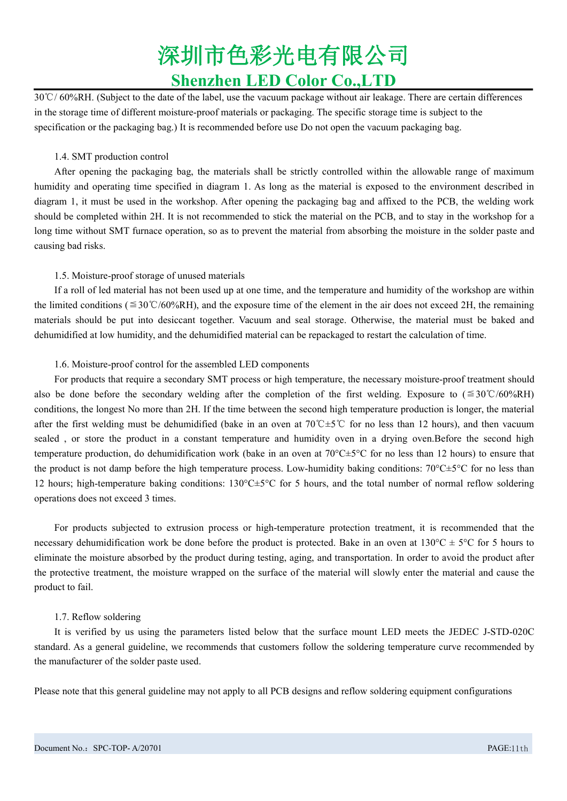30℃/ 60%RH. (Subject to the date of the label, use the vacuum package without air leakage. There are certain differences in the storage time of different moisture-proof materials or packaging. The specific storage time is subject to the specification or the packaging bag.) It is recommended before use Do not open the vacuum packaging bag.

#### 1.4. SMT production control

After opening the packaging bag, the materials shall be strictly controlled within the allowable range of maximum humidity and operating time specified in diagram 1.As long as the material is exposed to the environment described in diagram 1, it must be used in the workshop. After opening the packaging bag and affixed to the PCB, the welding work should be completed within 2H.It is not recommended to stick the material on the PCB, and to stay in the workshop for a long time without SMT furnace operation, so as to prevent the material from absorbing the moisture in the solder paste and causing bad risks.

#### 1.5. Moisture-proof storage of unused materials

If a roll of led material has not been used up at one time, and the temperature and humidity of the workshop are within the limited conditions ( $\leq 30^{\circ}C/60\%$ RH), and the exposure time of the element in the air does not exceed 2H, the remaining materials should be put into desiccant together. Vacuum and seal storage. Otherwise, the material must be baked and dehumidified at low humidity, and the dehumidified material can be repackaged to restart the calculation of time.

#### 1.6. Moisture-proof control for the assembled LED components

For products that require a secondary SMT process or high temperature, the necessary moisture-proof treatment should also be done before the secondary welding after the completion of the first welding. Exposure to (≦30℃/60%RH) conditions, the longest No more than 2H. If the time between the second high temperature production is longer, the material after the first welding must be dehumidified (bake in an oven at 70℃±5℃ for no less than 12 hours), and then vacuum sealed , or store the product in a constant temperature and humidity oven in a drying oven.Before the second high temperature production, do dehumidification work (bake in an oven at  $70^{\circ}C \pm 5^{\circ}C$  for no less than 12 hours) to ensure that the product is not damp before the high temperature process. Low-humidity baking conditions:  $70^{\circ}$ C $\pm$ 5°C for no less than 12 hours; high-temperature baking conditions: 130°C±5°C for 5 hours, and the total number of normal reflow soldering operations does not exceed 3 times.

For products subjected to extrusion process or high-temperature protection treatment, it is recommended that the necessary dehumidification work be done before the product is protected. Bake in an oven at  $130^{\circ}C \pm 5^{\circ}C$  for 5 hours to eliminate the moisture absorbed by the product during testing, aging, and transportation. In order to avoid the product after the protective treatment, the moisture wrapped on the surface of the material will slowly enter the material and cause the product to fail.

#### 1.7. Reflow soldering

It is verified by us using the parameters listed below that the surface mount LED meets the JEDEC J-STD-020C standard. As a general guideline, we recommends that customers follow the soldering temperature curve recommended by the manufacturer of the solder paste used.

Please note that this general guideline may not apply to all PCB designs and reflow soldering equipment configurations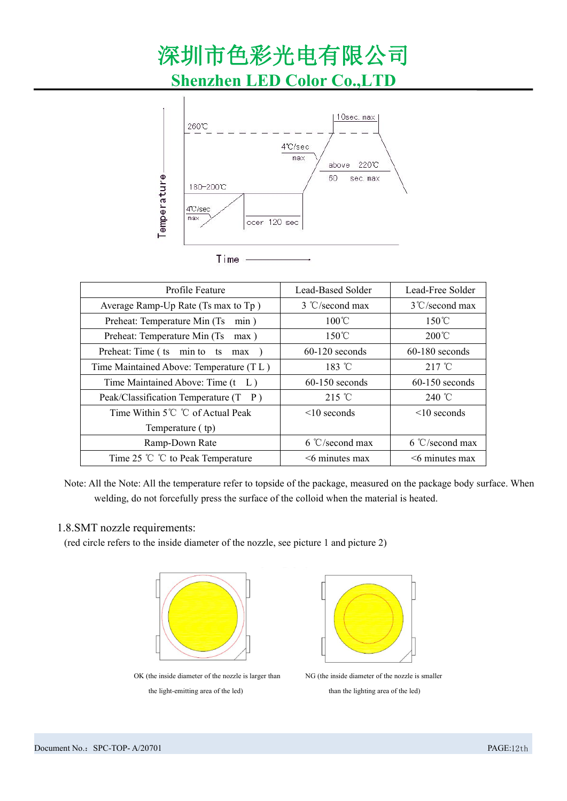

| Profile Feature                          | Lead-Based Solder        | Lead-Free Solder         |
|------------------------------------------|--------------------------|--------------------------|
| Average Ramp-Up Rate (Ts max to Tp)      | $3 \degree$ C/second max | $3^{\circ}$ C/second max |
| Preheat: Temperature Min (Ts min)        | $100^{\circ}$ C          | $150^{\circ}$ C          |
| Preheat: Temperature Min (Ts<br>$max$ )  | $150^{\circ}$ C          | $200^{\circ}$ C          |
| Preheat: Time (ts min to ts max )        | $60-120$ seconds         | $60-180$ seconds         |
| Time Maintained Above: Temperature (TL)  | $183 \text{ °C}$         | $217^{\circ}$ C          |
| Time Maintained Above: Time (t L)        | $60-150$ seconds         | $60-150$ seconds         |
| Peak/Classification Temperature (T P)    | $215^{\circ}$ C          | 240 °C                   |
| Time Within 5℃ ℃ of Actual Peak          | $\leq 10$ seconds        | $\leq 10$ seconds        |
| Temperature (tp)                         |                          |                          |
| Ramp-Down Rate                           | $6 °C$ /second max       | $6 °C$ /second max       |
| Time 25 $^{\circ}$ C to Peak Temperature | $<$ 6 minutes max        | $\leq$ 6 minutes max     |

Note: All the Note: All the temperature refer to topside of the package, measured on the package body surface. When welding, do not forcefully press the surface of the colloid when the material is heated.

#### 1.8.SMT nozzle requirements:

(red circle refers to the inside diameter of the nozzle, see picture 1 and picture 2)



OK (the inside diameter of the nozzle is larger than NG (the inside diameter of the nozzle is smaller the light-emitting area of the led) than the lighting area of the led)

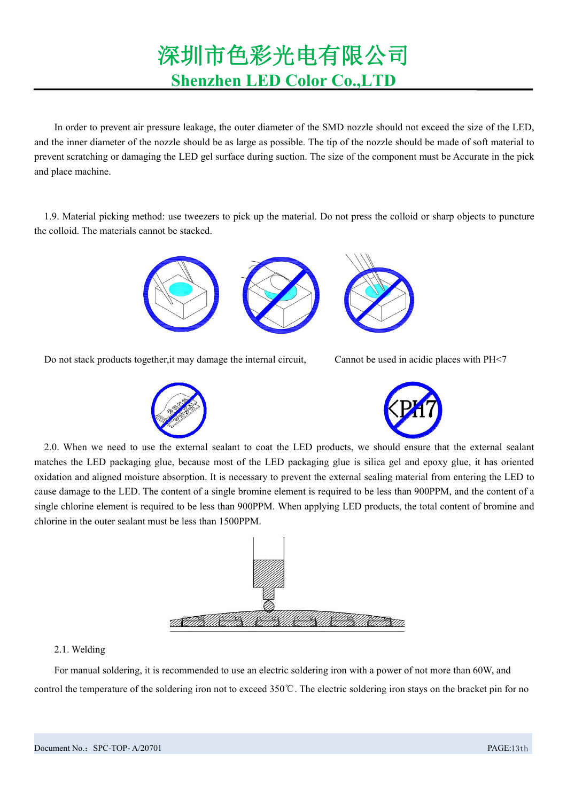In order to prevent air pressure leakage, the outer diameter of the SMD nozzle should not exceed the size of the LED, and the inner diameter of the nozzle should be as large as possible. The tip of the nozzle should be made of soft material to prevent scratching or damaging the LED gel surface during suction. The size of the component must be Accurate in the pick and place machine.

1.9. Material picking method: use tweezers to pick up the material. Do not press the colloid or sharp objects to puncture the colloid. The materials cannot be stacked.



Do not stack products together, it may damage the internal circuit, Cannot be used in acidic places with PH<7





2.0. When we need to use the external sealant to coat the LED products, we should ensure that the external sealant matches the LED packaging glue, because most of the LED packaging glue issilica gel and epoxy glue, it has oriented oxidation and aligned moisture absorption. It is necessary to prevent the external sealing material from entering the LED to cause damage to the LED. The content of a single bromine element is required to be less than 900PPM, and the content of a single chlorine element is required to be less than 900PPM. When applying LED products, the total content of bromine and chlorine in the outer sealant must be less than 1500PPM.



#### 2.1. Welding

For manual soldering, it is recommended to use an electric soldering iron with a power of not more than 60W, and control the temperature of the soldering iron not to exceed 350 °C. The electric soldering iron stays on the bracket pin for no